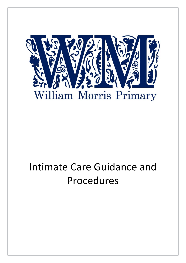

# Intimate Care Guidance and Procedures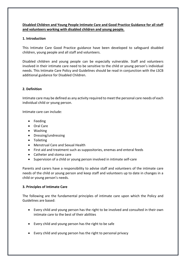## **Disabled Children and Young People Intimate Care and Good Practice Guidance for all staff and volunteers working with disabled children and young people.**

### **1. Introduction**

This Intimate Care Good Practice guidance have been developed to safeguard disabled children, young people and all staff and volunteers.

Disabled children and young people can be especially vulnerable. Staff and volunteers involved in their intimate care need to be sensitive to the child or young person's individual needs. This Intimate Care Policy and Guidelines should be read in conjunction with the LSCB additional guidance for Disabled Children.

#### **2. Definition**

Intimate care may be defined as any activity required to meet the personal care needs of each individual child or young person.

Intimate care can include:

- Feeding
- Oral Care
- Washing
- Dressing/undressing
- Toileting
- Menstrual Care and Sexual Health
- First aid and treatment such as suppositories, enemas and enteral feeds
- Catheter and stoma care
- Supervision of a child or young person involved in intimate self-care

Parents and carers have a responsibility to advise staff and volunteers of the intimate care needs of the child or young person and keep staff and volunteers up to date in changes in a child or young person's needs.

#### **3. Principles of Intimate Care**

The following are the fundamental principles of intimate care upon which the Policy and Guidelines are based:

- Every child and young person has the right to be involved and consulted in their own intimate care to the best of their abilities
- Every child and young person has the right to be safe
- Every child and young person has the right to personal privacy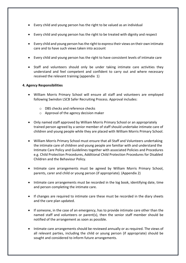- Every child and young person has the right to be valued as an individual
- Every child and young person has the right to be treated with dignity and respect
- Every child and young person has the right to express their views on their own intimate care and to have such views taken into account
- Every child and young person has the right to have consistent levels of intimate care
- Staff and volunteers should only be under taking intimate care activities they understand and feel competent and confident to carry out and where necessary received the relevant training (appendix 1)

#### **4. Agency Responsibilities**

- William Morris Primary School will ensure all staff and volunteers are employed following Swindon LSCB Safer Recruiting Process. Approval includes:
	- o DBS checks and reference checks
	- o Approval of the agency decision maker
- Only named staff approved by William Morris Primary School or an appropriately trained person agreed by a senior member of staff should undertake intimate care of children and young people while they are placed with William Morris Primary School.
- William Morris Primary School must ensure that all Staff and Volunteers undertaking the intimate care of children and young people are familiar with and understand the Intimate Care Policy and Guidelines together with associated Policies and Procedures e.g. Child Protection Procedures, Additional Child Protection Procedures for Disabled Children and the Behaviour Policy.
- Intimate care arrangements must be agreed by William Morris Primary School, parents, carer and child or young person (if appropriate). (Appendix 2)
- Intimate care arrangements must be recorded in the log book, identifying date, time and person completing the intimate care.
- If changes are required to intimate care these must be recorded in the diary sheets and the care plan updated.
- If someone, in the case of an emergency, has to provide intimate care other than the named staff and volunteers or parent(s), then the senior staff member should be notified of the arrangement as soon as possible.
- Intimate care arrangements should be reviewed annually or as required. The views of all relevant parties, including the child or young person (if appropriate) should be sought and considered to inform future arrangements.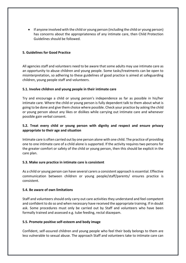• If anyone involved with the child or young person (including the child or young person) has concerns about the appropriateness of any intimate care, then Child Protection Guidelines should be followed.

#### **5. Guidelines for Good Practice**

All agencies staff and volunteers need to be aware that some adults may use intimate care as an opportunity to abuse children and young people. Some tasks/treatments can be open to misinterpretation, so adhering to these guidelines of good practice is aimed at safeguarding children, young people staff and volunteers.

#### **5.1. Involve children and young people in their intimate care**

Try and encourage a child or young person's independence as far as possible in his/her intimate care. Where the child or young person is fully dependent talk to them about what is going to be done and give them choice where possible. Check your practice by asking the child or young person about any likes or dislikes while carrying out intimate care and whenever possible gain verbal consent.

## **5.2. Treat every child or young person with dignity and respect and ensure privacy appropriate to their age and situation**

Intimate care is often carried out by one person alone with one child. The practice of providing one to one intimate care of a child alone is supported. If the activity requires two persons for the greater comfort or safety of the child or young person, then this should be explicit in the care plan.

#### **5.3. Make sure practice in intimate care is consistent**

As a child or young person can have several carers a consistent approach is essential. Effective communication between children or young people/staff/parents/ ensures practice is consistent.

#### **5.4. Be aware of own limitations**

Staff and volunteers should only carry out care activities they understand and feel competent and confident to do so and when necessary have received the appropriate training. If in doubt ask. Some procedures must only be carried out by Staff and volunteers who have been formally trained and assessed e.g. tube feeding, rectal diazepam.

#### **5.5. Promote positive self-esteem and body image**

Confident, self-assured children and young people who feel their body belongs to them are less vulnerable to sexual abuse. The approach Staff and volunteers take to intimate care can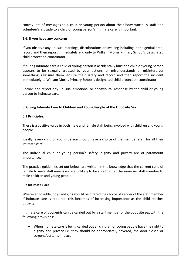convey lots of messages to a child or young person about their body worth. A staff and volunteer's attitude to a child or young person's intimate care is important.

#### **5.6. If you have any concerns**

If you observe any unusual markings, discolorations or swelling including in the genital area, record and then report immediately and **only** to William Morris Primary School's designated child protection coordinator.

If during intimate care a child or young person is accidentally hurt or a child or young person appears to be sexually aroused by your actions, or misunderstands or misinterprets something, reassure them, ensure their safety and record and then report the incident immediately to William Morris Primary School's designated child protection coordinator.

Record and report any unusual emotional or behavioural response by the child or young person to intimate care.

#### **6. Giving Intimate Care to Children and Young People of the Opposite Sex**

#### **6.1 Principles:**

There is a positive value in both male and female staff being involved with children and young people.

Ideally, every child or young person should have a choice of the member staff for all their intimate care.

The individual child or young person's safety, dignity and privacy are of paramount importance.

The practice guidelines set out below, are written in the knowledge that the current ratio of female to male staff means we are unlikely to be able to offer the same sex staff member to male children and young people.

#### **6.2 Intimate Care**

Wherever possible, boys and girls should be offered the choice of gender of the staff member if intimate care is required, this becomes of increasing importance as the child reaches puberty.

Intimate care of boys/girls can be carried out by a staff member of the opposite sex with the following provisions:

 When intimate care is being carried out all children or young people have the right to dignity and privacy i.e. they should be appropriately covered, the door closed or screens/curtains in place.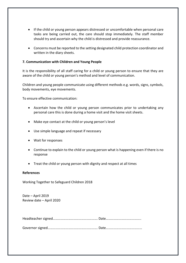- If the child or young person appears distressed or uncomfortable when personal care tasks are being carried out, the care should stop immediately. The staff member should try and ascertain why the child is distressed and provide reassurance.
- Concerns must be reported to the setting designated child protection coordinator and written in the diary sheets.

#### **7. Communication with Children and Young People**

It is the responsibility of all staff caring for a child or young person to ensure that they are aware of the child or young person's method and level of communication.

Children and young people communicate using different methods e.g. words, signs, symbols, body movements, eye movements.

To ensure effective communication:

- Ascertain how the child or young person communicates prior to undertaking any personal care this is done during a home visit and the home visit sheets.
- Make eye contact at the child or young person's level
- Use simple language and repeat if necessary
- Wait for responses
- Continue to explain to the child or young person what is happening even if there is no response
- Treat the child or young person with dignity and respect at all times

#### **References**

Working Together to Safeguard Children 2018

Date – April 2019 Review date – April 2020

Governor signed…………………………………………………. Date……………………………………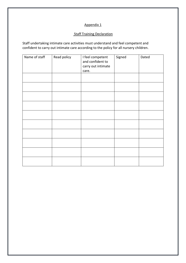## Appendix 1

## **Staff Training Declaration**

Staff undertaking intimate care activities must understand and feel competent and confident to carry out intimate care according to the policy for all nursery children.

| Name of staff | Read policy | I feel competent<br>and confident to<br>carry out intimate<br>care. | Signed | Dated |
|---------------|-------------|---------------------------------------------------------------------|--------|-------|
|               |             |                                                                     |        |       |
|               |             |                                                                     |        |       |
|               |             |                                                                     |        |       |
|               |             |                                                                     |        |       |
|               |             |                                                                     |        |       |
|               |             |                                                                     |        |       |
|               |             |                                                                     |        |       |
|               |             |                                                                     |        |       |
|               |             |                                                                     |        |       |
|               |             |                                                                     |        |       |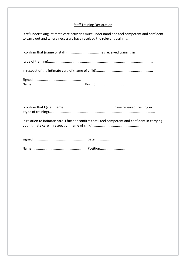## **Staff Training Declaration**

| Staff undertaking intimate care activities must understand and feel competent and confident |
|---------------------------------------------------------------------------------------------|
| to carry out and where necessary have received the relevant training.                       |

In relation to intimate care. I further confirm that I feel competent and confident in carrying out intimate care in respect of (name of child)......................................................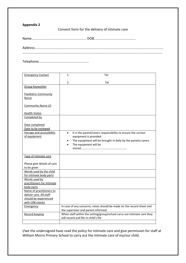## **Appendix 2**

Consent form for the delivery of intimate care

Name.......................................................... DOB............................................

Address........................................................................................................................................ ....................................................................................................................................................

Telephone.....................................................

| <b>Emergency Contact</b>                            | 1.        | Tel                                                                                                             |
|-----------------------------------------------------|-----------|-----------------------------------------------------------------------------------------------------------------|
|                                                     | 2.        | Tel                                                                                                             |
| Group Keyworker                                     |           |                                                                                                                 |
| <b>Paediatric Community</b><br>Nurse                |           |                                                                                                                 |
| <b>Community Nurse LD</b>                           |           |                                                                                                                 |
| <b>Health Visitor</b>                               |           |                                                                                                                 |
| Completed by                                        |           |                                                                                                                 |
| Date completed<br>Date to be reviewed               |           |                                                                                                                 |
| <b>Storage and accessibility</b><br>of equipment    | $\bullet$ | It is the parent/carers responsibility to ensure the correct<br>equipment is provided                           |
|                                                     | $\bullet$ | The equipment will be brought in daily by the parents carers<br>The equipment will be                           |
| Type of intimate care                               |           |                                                                                                                 |
| Please give details of care<br>to be given          |           |                                                                                                                 |
| Words used by the child<br>for intimate body parts  |           |                                                                                                                 |
| Words used by<br>practitioners for intimate         |           |                                                                                                                 |
| body parts                                          |           |                                                                                                                 |
| Name of practitioners to<br>deliver care. All staff |           |                                                                                                                 |
| should be experienced                               |           |                                                                                                                 |
| with CRB checks                                     |           |                                                                                                                 |
| Emergency                                           |           | In case of any concerns, notes should be made on the record sheet and<br>the supervisor and parent informed     |
| <b>Record keeping</b>                               |           | When staff within the setting/group/school carry out intimate care they<br>will record and file in child's file |
|                                                     |           |                                                                                                                 |

I/we the undersigned have read the policy for intimate care and give permission for staff at William Morris Primary School to carry out the intimate care of my/our child.